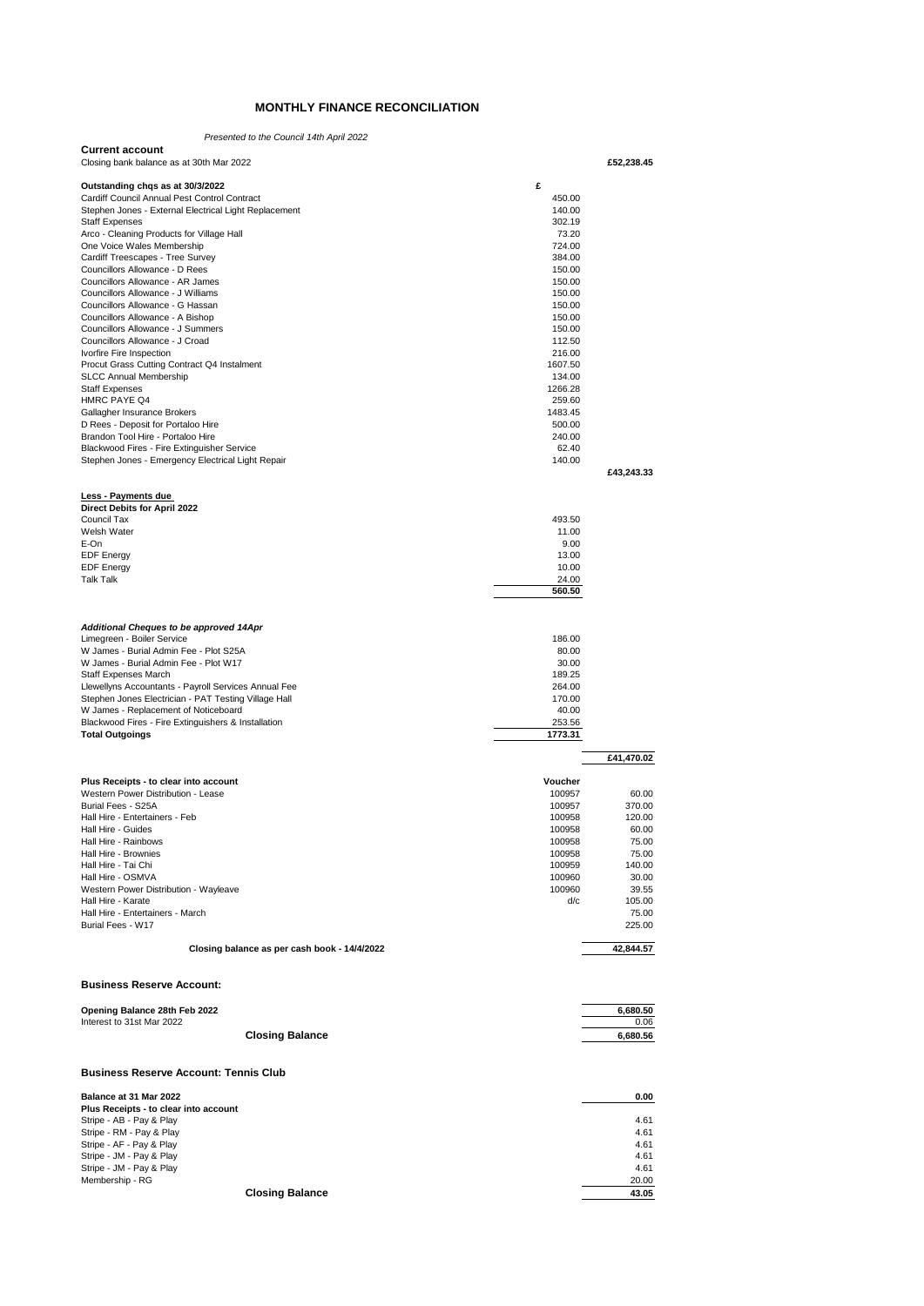## **MONTHLY FINANCE RECONCILIATION**

| Opening Balance 28th Feb 2022                                                    |                   | 6,680.50        |
|----------------------------------------------------------------------------------|-------------------|-----------------|
| <b>Business Reserve Account:</b>                                                 |                   |                 |
| Closing balance as per cash book - 14/4/2022                                     |                   | 42,844.57       |
| Burial Fees - W17                                                                |                   | 225.00          |
| Hall Hire - Karate<br>Hall Hire - Entertainers - March                           | d/c               | 105.00<br>75.00 |
| Western Power Distribution - Wayleave                                            | 100960            | 39.55           |
| Hall Hire - OSMVA                                                                | 100960            | 30.00           |
| Hall Hire - Tai Chi                                                              | 100959            | 140.00          |
| Hall Hire - Rainbows<br>Hall Hire - Brownies                                     | 100958<br>100958  | 75.00<br>75.00  |
| Hall Hire - Guides                                                               | 100958            | 60.00           |
| Hall Hire - Entertainers - Feb                                                   | 100958            | 120.00          |
| Burial Fees - S25A                                                               | 100957            | 370.00          |
| Plus Receipts - to clear into account<br>Western Power Distribution - Lease      | Voucher<br>100957 | 60.00           |
|                                                                                  |                   |                 |
|                                                                                  |                   | £41,470.02      |
| <b>Total Outgoings</b>                                                           | 1773.31           |                 |
| Blackwood Fires - Fire Extinguishers & Installation                              | 253.56            |                 |
| W James - Replacement of Noticeboard                                             | 40.00             |                 |
| Stephen Jones Electrician - PAT Testing Village Hall                             | 170.00            |                 |
| Llewellyns Accountants - Payroll Services Annual Fee                             | 264.00            |                 |
| W James - Burial Admin Fee - Plot W17<br><b>Staff Expenses March</b>             | 30.00<br>189.25   |                 |
| W James - Burial Admin Fee - Plot S25A                                           | 80.00             |                 |
| Limegreen - Boiler Service                                                       | 186.00            |                 |
| Additional Cheques to be approved 14Apr                                          |                   |                 |
|                                                                                  |                   |                 |
|                                                                                  | 560.50            |                 |
| <b>Talk Talk</b>                                                                 | 24.00             |                 |
| <b>EDF Energy</b>                                                                | 10.00             |                 |
| <b>EDF</b> Energy                                                                | 13.00             |                 |
| E-On                                                                             | 9.00              |                 |
| Council Tax<br>Welsh Water                                                       | 493.50<br>11.00   |                 |
| Direct Debits for April 2022                                                     |                   |                 |
| Less - Payments due                                                              |                   |                 |
|                                                                                  |                   |                 |
| Stephen Jones - Emergency Electrical Light Repair                                | 140.00            | £43,243.33      |
| Blackwood Fires - Fire Extinguisher Service                                      | 62.40             |                 |
| Brandon Tool Hire - Portaloo Hire                                                | 240.00            |                 |
| D Rees - Deposit for Portaloo Hire                                               | 500.00            |                 |
| HMRC PAYE Q4<br>Gallagher Insurance Brokers                                      | 259.60<br>1483.45 |                 |
| <b>Staff Expenses</b>                                                            | 1266.28           |                 |
| <b>SLCC Annual Membership</b>                                                    | 134.00            |                 |
| Procut Grass Cutting Contract Q4 Instalment                                      | 1607.50           |                 |
| Ivorfire Fire Inspection                                                         | 216.00            |                 |
| Councillors Allowance - J Summers<br>Councillors Allowance - J Croad             | 150.00<br>112.50  |                 |
| Councillors Allowance - A Bishop                                                 | 150.00            |                 |
| Councillors Allowance - G Hassan                                                 | 150.00            |                 |
| Councillors Allowance - J Williams                                               | 150.00            |                 |
| Councillors Allowance - AR James                                                 | 150.00            |                 |
| Cardiff Treescapes - Tree Survey<br>Councillors Allowance - D Rees               | 384.00<br>150.00  |                 |
| One Voice Wales Membership                                                       | 724.00            |                 |
| Arco - Cleaning Products for Village Hall                                        | 73.20             |                 |
| <b>Staff Expenses</b>                                                            | 302.19            |                 |
| Stephen Jones - External Electrical Light Replacement                            | 140.00            |                 |
| Outstanding chqs as at 30/3/2022<br>Cardiff Council Annual Pest Control Contract | £<br>450.00       |                 |
|                                                                                  |                   |                 |
| Closing bank balance as at 30th Mar 2022                                         |                   | £52,238.45      |
| <b>Current account</b>                                                           |                   |                 |
| Presented to the Council 14th April 2022                                         |                   |                 |

| Interest to 31st Mar 2022 | 0.06     |
|---------------------------|----------|
| <b>Closing Balance</b>    | 6.680.56 |
|                           |          |

## **Business Reserve Account: Tennis Club**

| Balance at 31 Mar 2022                | 0.00  |
|---------------------------------------|-------|
| Plus Receipts - to clear into account |       |
| Stripe - AB - Pay & Play              | 4.61  |
| Stripe - RM - Pay & Play              | 4.61  |
| Stripe - AF - Pay & Play              | 4.61  |
| Stripe - JM - Pay & Play              | 4.61  |
| Stripe - JM - Pay & Play              | 4.61  |
| Membership - RG                       | 20.00 |
| <b>Closing Balance</b>                | 43.05 |